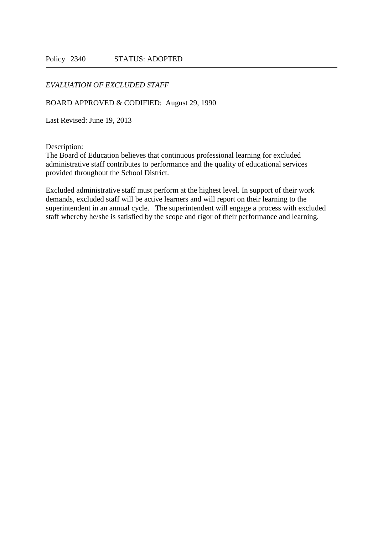## *EVALUATION OF EXCLUDED STAFF*

BOARD APPROVED & CODIFIED: August 29, 1990

Last Revised: June 19, 2013

Description:

The Board of Education believes that continuous professional learning for excluded administrative staff contributes to performance and the quality of educational services provided throughout the School District.

Excluded administrative staff must perform at the highest level. In support of their work demands, excluded staff will be active learners and will report on their learning to the superintendent in an annual cycle. The superintendent will engage a process with excluded staff whereby he/she is satisfied by the scope and rigor of their performance and learning.